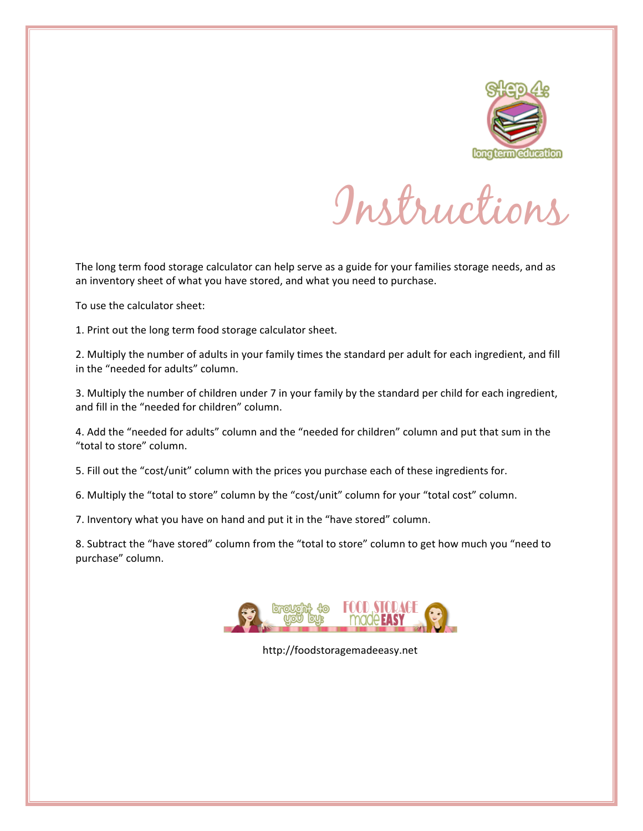

Instructions

The long term food storage calculator can help serve as a guide for your families storage needs, and as an inventory sheet of what you have stored, and what you need to purchase.

To use the calculator sheet:

1. Print out the long term food storage calculator sheet.

2. Multiply the number of adults in your family times the standard per adult for each ingredient, and fill in the "needed for adults" column.

3. Multiply the number of children under 7 in your family by the standard per child for each ingredient, and fill in the "needed for children" column.

4. Add the "needed for adults" column and the "needed for children" column and put that sum in the "total to store" column.

5. Fill out the "cost/unit" column with the prices you purchase each of these ingredients for.

6. Multiply the "total to store" column by the "cost/unit" column for your "total cost" column.

7. Inventory what you have on hand and put it in the "have stored" column.

8. Subtract the "have stored" column from the "total to store" column to get how much you "need to purchase" column.



http://foodstoragemadeeasy.net